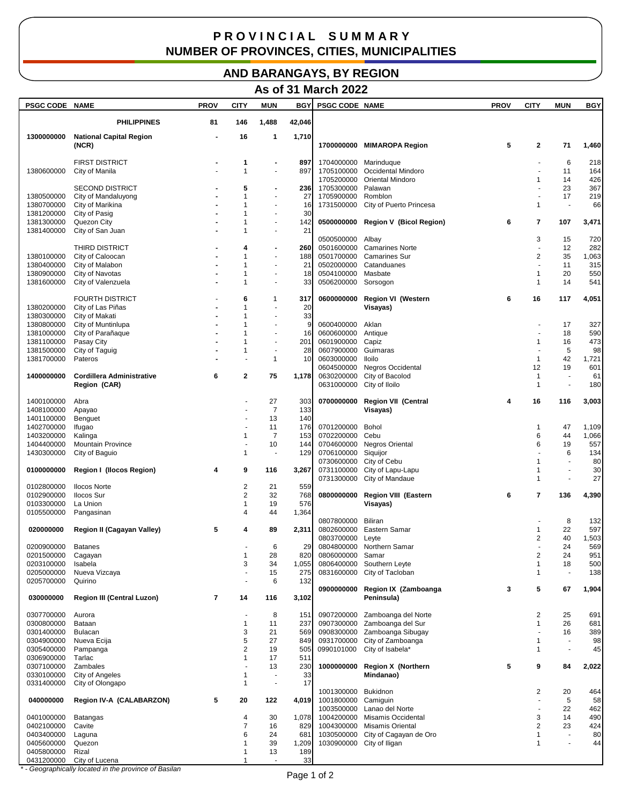## **P R O V I N C I A L S U M M A R Y NUMBER OF PROVINCES, CITIES, MUNICIPALITIES**

## **AND BARANGAYS, BY REGION**

## **As of 31 March 2022**

| PSGC CODE NAME           |                                          | <b>PROV</b> | <b>CITY</b>       | <b>MUN</b>                         | BGY        | <b>PSGC CODE NAME</b>     |                                    | <b>PROV</b> | <b>CITY</b>                  | <b>MUN</b>                     | BGY        |
|--------------------------|------------------------------------------|-------------|-------------------|------------------------------------|------------|---------------------------|------------------------------------|-------------|------------------------------|--------------------------------|------------|
|                          | <b>PHILIPPINES</b>                       | 81          | 146               | 1,488                              | 42,046     |                           |                                    |             |                              |                                |            |
| 1300000000               | <b>National Capital Region</b>           |             | 16                | 1                                  | 1,710      |                           |                                    |             |                              |                                |            |
|                          | (NCR)                                    |             |                   |                                    |            |                           | 1700000000 MIMAROPA Region         | 5           | 2                            | 71                             | 1,460      |
|                          | <b>FIRST DISTRICT</b>                    |             | 1                 |                                    | 897        | 1704000000 Marinduque     |                                    |             |                              | 6                              | 218        |
| 1380600000               | City of Manila                           |             | 1                 | $\sim$                             | 897        |                           | 1705100000 Occidental Mindoro      |             |                              | 11                             | 164        |
|                          |                                          |             |                   |                                    |            | 1705200000                | <b>Oriental Mindoro</b>            |             | $\mathbf{1}$                 | 14                             | 426        |
|                          | <b>SECOND DISTRICT</b>                   |             | 5                 | $\overline{\phantom{a}}$           | 236        | 1705300000                | Palawan                            |             |                              | 23                             | 367        |
| 1380500000<br>1380700000 | City of Mandaluyong                      |             | 1<br>1            | $\blacksquare$<br>$\blacksquare$   | 27<br>16   | 1705900000<br>1731500000  | Romblon                            |             | $\mathbf{1}$                 | 17<br>$\overline{\phantom{a}}$ | 219<br>66  |
| 1381200000               | City of Marikina<br>City of Pasig        |             | 1                 | $\sim$                             | 30         |                           | City of Puerto Princesa            |             |                              |                                |            |
| 1381300000               | Quezon City                              |             | 1                 | ٠                                  | 142        |                           | 0500000000 Region V (Bicol Region) | 6           | 7                            | 107                            | 3,471      |
| 1381400000               | City of San Juan                         |             | 1                 | $\sim$                             | 21         |                           |                                    |             |                              |                                |            |
|                          |                                          |             |                   |                                    |            | 0500500000 Albay          |                                    |             | 3                            | 15                             | 720        |
|                          | <b>THIRD DISTRICT</b>                    |             | 4                 |                                    | 260        | 0501600000                | <b>Camarines Norte</b>             |             |                              | 12                             | 282        |
| 1380100000               | City of Caloocan                         |             | 1<br>1            | $\sim$<br>÷,                       | 188        | 0501700000                | <b>Camarines Sur</b>               |             | $\overline{\mathbf{c}}$      | 35<br>11                       | 1,063      |
| 1380400000<br>1380900000 | City of Malabon<br>City of Navotas       |             | 1                 | $\sim$                             | 21<br>18   | 0502000000<br>0504100000  | Catanduanes<br>Masbate             |             | 1                            | 20                             | 315<br>550 |
| 1381600000               | City of Valenzuela                       |             | 1                 | ÷,                                 | 33         | 0506200000                | Sorsogon                           |             | $\mathbf{1}$                 | 14                             | 541        |
|                          |                                          |             |                   |                                    |            |                           |                                    |             |                              |                                |            |
|                          | <b>FOURTH DISTRICT</b>                   |             | 6                 | 1                                  | 317        | 0600000000                | <b>Region VI (Western</b>          | 6           | 16                           | 117                            | 4,051      |
| 1380200000               | City of Las Piñas                        |             | 1                 | ä,                                 | 20         |                           | Visayas)                           |             |                              |                                |            |
| 1380300000               | City of Makati                           |             | 1                 |                                    | 33         |                           |                                    |             |                              |                                |            |
| 1380800000               | City of Muntinlupa                       |             | 1                 | ÷,                                 | S          | 0600400000                | Aklan                              |             |                              | 17                             | 327        |
| 1381000000               | City of Parañaque                        |             | 1<br>1            | $\blacksquare$<br>$\sim$           | 16         | 0600600000                | Antique                            |             | 1                            | 18                             | 590        |
| 1381100000<br>1381500000 | Pasay City<br>City of Taguig             |             | 1                 | ÷,                                 | 201<br>28  | 0601900000<br>0607900000  | Capiz<br>Guimaras                  |             |                              | 16<br>5                        | 473<br>98  |
| 1381700000               | Pateros                                  |             |                   | $\mathbf{1}$                       | 10         | 0603000000                | lloilo                             |             | $\mathbf{1}$                 | 42                             | 1,721      |
|                          |                                          |             |                   |                                    |            | 0604500000                | <b>Negros Occidental</b>           |             | 12                           | 19                             | 601        |
| 1400000000               | <b>Cordillera Administrative</b>         | 6           | $\mathbf{2}$      | 75                                 | 1,178      | 0630200000                | City of Bacolod                    |             | 1                            | $\overline{\phantom{a}}$       | 61         |
|                          | Region (CAR)                             |             |                   |                                    |            | 0631000000 City of Iloilo |                                    |             | $\mathbf{1}$                 | $\overline{\phantom{a}}$       | 180        |
|                          |                                          |             |                   |                                    |            |                           |                                    |             |                              |                                |            |
| 1400100000               | Abra                                     |             |                   | 27                                 | 303        | 0700000000                | <b>Region VII (Central</b>         | 4           | 16                           | 116                            | 3,003      |
| 1408100000               | Apayao                                   |             |                   | $\overline{7}$                     | 133<br>140 |                           | Visayas)                           |             |                              |                                |            |
| 1401100000<br>1402700000 | Benguet<br>Ifugao                        |             |                   | 13<br>11                           | 176        | 0701200000                | Bohol                              |             | 1                            | 47                             | 1,109      |
| 1403200000               | Kalinga                                  |             | 1                 | $\overline{7}$                     | 153        | 0702200000                | Cebu                               |             | 6                            | 44                             | 1,066      |
| 1404400000               | <b>Mountain Province</b>                 |             |                   | 10                                 | 144        | 0704600000                | <b>Negros Oriental</b>             |             | 6                            | 19                             | 557        |
| 1430300000               | City of Baguio                           |             | $\mathbf{1}$      | ÷,                                 | 129        | 0706100000                | Siquijor                           |             |                              | 6                              | 134        |
|                          |                                          |             |                   |                                    |            | 0730600000                | City of Cebu                       |             | $\mathbf{1}$                 | ÷,                             | 80         |
| 0100000000               | <b>Region I (Ilocos Region)</b>          | 4           | 9                 | 116                                | 3,267      | 0731100000                | City of Lapu-Lapu                  |             | 1                            | ÷,                             | 30         |
|                          |                                          |             |                   |                                    |            | 0731300000                | City of Mandaue                    |             | $\mathbf{1}$                 | ÷,                             | 27         |
| 0102800000<br>0102900000 | <b>Ilocos Norte</b><br><b>Ilocos Sur</b> |             | 2<br>2            | 21<br>32                           | 559<br>768 | 0800000000                | <b>Region VIII (Eastern</b>        | 6           | 7                            | 136                            | 4,390      |
| 0103300000               | La Union                                 |             | $\mathbf{1}$      | 19                                 | 576        |                           | Visayas)                           |             |                              |                                |            |
| 0105500000               | Pangasinan                               |             | 4                 | 44                                 | 1,364      |                           |                                    |             |                              |                                |            |
|                          |                                          |             |                   |                                    |            | 0807800000                | Biliran                            |             |                              | 8                              | 132        |
| 020000000                | Region II (Cagayan Valley)               | 5           | 4                 | 89                                 | 2,311      | 0802600000                | Eastern Samar                      |             | 1                            | 22                             | 597        |
|                          |                                          |             |                   |                                    |            | 0803700000 Leyte          |                                    |             | $\overline{2}$               | 40                             | 1,503      |
| 0200900000               | <b>Batanes</b>                           |             |                   | 6                                  | 29         |                           | 0804800000 Northern Samar          |             |                              | 24                             | 569        |
| 0201500000               | Cagayan                                  |             |                   | 28                                 | 820        | 0806000000                | Samar                              |             | 2                            | 24                             | 951        |
| 0203100000               | Isabela                                  |             | 3                 | 34                                 | 1,055      |                           | 0806400000 Southern Leyte          |             | $\mathbf{1}$<br>$\mathbf{1}$ | 18<br>$\overline{\phantom{a}}$ | 500<br>138 |
| 0205000000<br>0205700000 | Nueva Vizcaya<br>Quirino                 |             |                   | 15<br>6                            | 275<br>132 |                           | 0831600000 City of Tacloban        |             |                              |                                |            |
|                          |                                          |             |                   |                                    |            | 0900000000                | Region IX (Zamboanga               | 3           | 5                            | 67                             | 1,904      |
| 030000000                | <b>Region III (Central Luzon)</b>        | 7           | 14                | 116                                | 3,102      |                           | Peninsula)                         |             |                              |                                |            |
| 0307700000               | Aurora                                   |             | $\blacksquare$    | 8                                  | 151        | 0907200000                | Zamboanga del Norte                |             | 2                            | 25                             | 691        |
| 0300800000               | Bataan                                   |             | 1                 | 11                                 | 237        | 0907300000                | Zamboanga del Sur                  |             | 1                            | 26                             | 681        |
| 0301400000               | <b>Bulacan</b>                           |             | 3                 | 21                                 | 569        | 0908300000                | Zamboanga Sibugay                  |             |                              | 16                             | 389        |
| 0304900000               | Nueva Ecija                              |             | 5                 | 27                                 | 849        |                           | 0931700000 City of Zamboanga       |             | 1                            | $\overline{\phantom{a}}$       | 98         |
| 0305400000               | Pampanga                                 |             | 2                 | 19                                 | 505        | 0990101000                | City of Isabela*                   |             | $\mathbf{1}$                 | $\overline{\phantom{a}}$       | 45         |
| 0306900000               | Tarlac                                   |             | 1                 | 17                                 | 511        |                           |                                    |             |                              |                                |            |
| 0307100000               | Zambales                                 |             | $\blacksquare$    | 13                                 | 230        | 1000000000                | <b>Region X (Northern</b>          | 5           | 9                            | 84                             | 2,022      |
| 0330100000<br>0331400000 | City of Angeles                          |             | 1<br>$\mathbf{1}$ | $\overline{\phantom{a}}$<br>$\sim$ | 33<br>17   |                           | Mindanao)                          |             |                              |                                |            |
|                          | City of Olongapo                         |             |                   |                                    |            | 1001300000 Bukidnon       |                                    |             | 2                            | 20                             | 464        |
| 040000000                | Region IV-A (CALABARZON)                 | 5           | 20                | 122                                | 4,019      | 1001800000 Camiguin       |                                    |             | ÷.                           | 5                              | 58         |
|                          |                                          |             |                   |                                    |            |                           | 1003500000 Lanao del Norte         |             | $\blacksquare$               | 22                             | 462        |
| 0401000000               | Batangas                                 |             | 4                 | 30                                 | 1,078      |                           | 1004200000 Misamis Occidental      |             | 3                            | 14                             | 490        |
| 0402100000               | Cavite                                   |             | 7                 | 16                                 | 829        |                           | 1004300000 Misamis Oriental        |             | $\overline{2}$               | 23                             | 424        |
| 0403400000               | Laguna                                   |             | 6                 | 24                                 | 681        | 1030500000                | City of Cagayan de Oro             |             | $\mathbf{1}$                 | $\sim$                         | 80         |
| 0405600000               | Quezon                                   |             | $\mathbf{1}$      | 39                                 | 1,209      |                           | 1030900000 City of Iligan          |             | $\mathbf{1}$                 | $\sim$                         | 44         |
| 0405800000<br>0431200000 | Rizal                                    |             | 1                 | 13                                 | 189<br>33  |                           |                                    |             |                              |                                |            |
|                          | City of Lucena                           |             |                   |                                    |            |                           |                                    |             |                              |                                |            |

*\* - Geographically located in the province of Basilan*